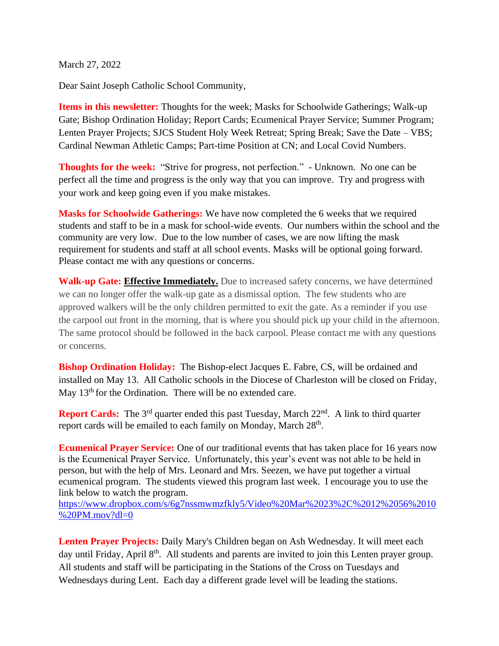March 27, 2022

Dear Saint Joseph Catholic School Community,

**Items in this newsletter:** Thoughts for the week; Masks for Schoolwide Gatherings; Walk-up Gate; Bishop Ordination Holiday; Report Cards; Ecumenical Prayer Service; Summer Program; Lenten Prayer Projects; SJCS Student Holy Week Retreat; Spring Break; Save the Date – VBS; Cardinal Newman Athletic Camps; Part-time Position at CN; and Local Covid Numbers.

**Thoughts for the week:** "Strive for progress, not perfection." - Unknown. No one can be perfect all the time and progress is the only way that you can improve. Try and progress with your work and keep going even if you make mistakes.

**Masks for Schoolwide Gatherings:** We have now completed the 6 weeks that we required students and staff to be in a mask for school-wide events. Our numbers within the school and the community are very low. Due to the low number of cases, we are now lifting the mask requirement for students and staff at all school events. Masks will be optional going forward. Please contact me with any questions or concerns.

**Walk-up Gate: Effective Immediately.** Due to increased safety concerns, we have determined we can no longer offer the walk-up gate as a dismissal option. The few students who are approved walkers will be the only children permitted to exit the gate. As a reminder if you use the carpool out front in the morning, that is where you should pick up your child in the afternoon. The same protocol should be followed in the back carpool. Please contact me with any questions or concerns.

**Bishop Ordination Holiday:** The Bishop-elect Jacques E. Fabre, CS, will be ordained and installed on May 13. All Catholic schools in the Diocese of Charleston will be closed on Friday, May 13<sup>th</sup> for the Ordination. There will be no extended care.

**Report Cards:** The 3<sup>rd</sup> quarter ended this past Tuesday, March 22<sup>nd</sup>. A link to third quarter report cards will be emailed to each family on Monday, March 28<sup>th</sup>.

**Ecumenical Prayer Service:** One of our traditional events that has taken place for 16 years now is the Ecumenical Prayer Service. Unfortunately, this year's event was not able to be held in person, but with the help of Mrs. Leonard and Mrs. Seezen, we have put together a virtual ecumenical program. The students viewed this program last week. I encourage you to use the link below to watch the program.

[https://www.dropbox.com/s/6g7nssmwmzfkly5/Video%20Mar%2023%2C%2012%2056%2010](https://www.dropbox.com/s/6g7nssmwmzfkly5/Video%20Mar%2023%2C%2012%2056%2010%20PM.mov?dl=0) [%20PM.mov?dl=0](https://www.dropbox.com/s/6g7nssmwmzfkly5/Video%20Mar%2023%2C%2012%2056%2010%20PM.mov?dl=0)

**Lenten Prayer Projects:** Daily Mary's Children began on Ash Wednesday. It will meet each day until Friday, April 8<sup>th</sup>. All students and parents are invited to join this Lenten prayer group. All students and staff will be participating in the Stations of the Cross on Tuesdays and Wednesdays during Lent. Each day a different grade level will be leading the stations.